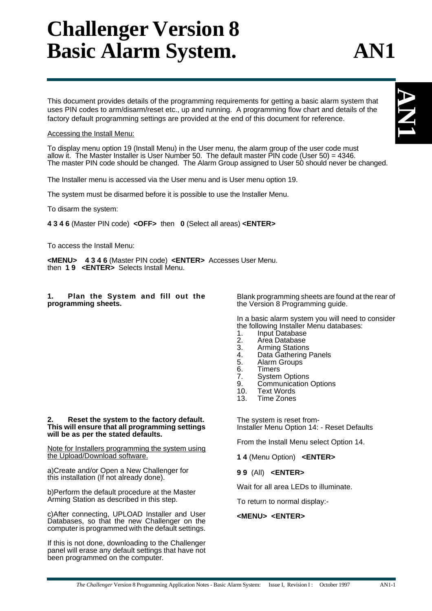# **Challenger Version 8 Basic Alarm System. AN1**

This document provides details of the programming requirements for getting a basic alarm system that uses PIN codes to arm/disarm/reset etc., up and running. A programming flow chart and details of the factory default programming settings are provided at the end of this document for reference.

### Accessing the Install Menu:

To display menu option 19 (Install Menu) in the User menu, the alarm group of the user code must allow it. The Master Installer is User Number 50. The default master PIN code (User 50) = 4346. The master PIN code should be changed. The Alarm Group assigned to User 50 should never be changed.

The Installer menu is accessed via the User menu and is User menu option 19.

The system must be disarmed before it is possible to use the Installer Menu.

To disarm the system:

**4 3 4 6** (Master PIN code) **<OFF>** then **0** (Select all areas) **<ENTER>**

To access the Install Menu:

**<MENU> 4 3 4 6** (Master PIN code) **<ENTER>** Accesses User Menu. then **1 9 <ENTER>** Selects Install Menu.

**1. Plan the System and fill out the programming sheets.**

Blank programming sheets are found at the rear of the Version 8 Programming guide.

In a basic alarm system you will need to consider the following Installer Menu databases:

- 1. Input Database<br>2. Area Database
- 2. Area Database<br>3. Arming Station
- 3. Arming Stations<br>4. Data Gathering
- 4. Data Gathering Panels<br>5. Alarm Groups
- 5. Alarm Groups
- 6. Timers<br>7. System
- 7. System Options<br>9. Communication
- Communication Options
- 10. Text Words
- 13. Time Zones

The system is reset from-Installer Menu Option 14: - Reset Defaults

From the Install Menu select Option 14.

**1 4** (Menu Option) **<ENTER>**

**9 9** (All) **<ENTER>**

Wait for all area LEDs to illuminate.

To return to normal display:-

### **<MENU> <ENTER>**

### Note for Installers programming the system using the Upload/Download software.

**2. Reset the system to the factory default. This will ensure that all programming settings**

a)Create and/or Open a New Challenger for this installation (If not already done).

**will be as per the stated defaults.**

b)Perform the default procedure at the Master Arming Station as described in this step.

c)After connecting, UPLOAD Installer and User Databases, so that the new Challenger on the computer is programmed with the default settings.

If this is not done, downloading to the Challenger panel will erase any default settings that have not been programmed on the computer.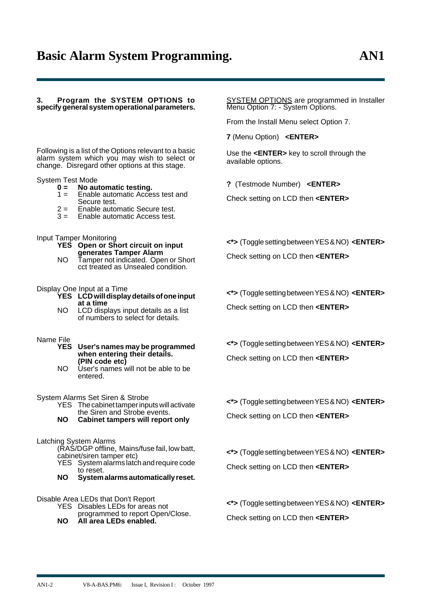#### **3. Program the SYSTEM OPTIONS to specify general system operational parameters.**

Following is a list of the Options relevant to a basic alarm system which you may wish to select or change. Disregard other options at this stage.

## System Test Mode<br>**0 = No au**

- **0 = No automatic testing.**
	- Enable automatic Access test and Secure test.
	- $2 =$  Enable automatic Secure test.<br> $3 =$  Enable automatic Access test.
	- Enable automatic Access test.

#### Input Tamper Monitoring

- **YES Open or Short circuit on input generates Tamper Alarm**
- NO Tamper not indicated. Open or Short cct treated as Unsealed condition.

#### Display One Input at a Time

- **YES LCD will display details of one input at a time**
- NO LCD displays input details as a list of numbers to select for details.

### Name File<br>**YES**

- **YES User's names may be programmed when entering their details. (PIN code etc)**
- NO User's names will not be able to be entered.

## System Alarms Set Siren & Strobe

- The cabinet tamper inputs will activate the Siren and Strobe events.
- **NO Cabinet tampers will report only**

#### Latching System Alarms

- (RAS/DGP offline, Mains/fuse fail, low batt, cabinet/siren tamper etc)
- YES System alarms latch and require code to reset.
- **NO System alarms automatically reset.**

### Disable Area LEDs that Don't Report

- YES Disables LEDs for areas not programmed to report Open/Close.
- **NO All area LEDs enabled.**

**SYSTEM OPTIONS** are programmed in Installer Menu Option 7: - System Options.

From the Install Menu select Option 7.

**7** (Menu Option) **<ENTER>**

Use the **<ENTER>** key to scroll through the available options.

**?** (Testmode Number) **<ENTER>**

Check setting on LCD then **<ENTER>**

**<\*>** (Toggle setting between YES & NO) **<ENTER>** Check setting on LCD then **<ENTER>**

**<\*>** (Toggle setting between YES & NO) **<ENTER>**

Check setting on LCD then **<ENTER>**

**<\*>** (Toggle setting between YES & NO) **<ENTER>** Check setting on LCD then **<ENTER>**

**<\*>** (Toggle setting between YES & NO) **<ENTER>** Check setting on LCD then **<ENTER>**

**<\*>** (Toggle setting between YES & NO) **<ENTER>** Check setting on LCD then **<ENTER>**

**<\*>** (Toggle setting between YES & NO) **<ENTER>** Check setting on LCD then **<ENTER>**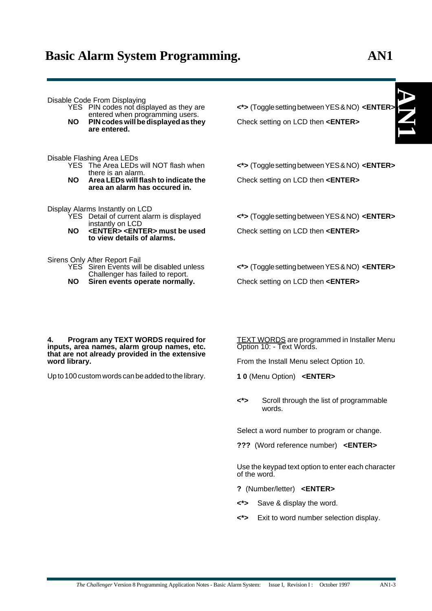**AN**

**1**

Disable Code From Displaying

- YES PIN codes not displayed as they are entered when programming users.
- **NO PIN codes will be displayed as they are entered.**

Disable Flashing Area LEDs

- The Area LEDs will NOT flash when there is an alarm.
- **NO Area LEDs will flash to indicate the area an alarm has occured in.**

Display Alarms Instantly on LCD

- YES Detail of current alarm is displayed instantly on LCD
- **NO <ENTER> <ENTER> must be used to view details of alarms.**

Sirens Only After Report Fail

- YES Siren Events will be disabled unless Challenger has failed to report.
- **NO Siren events operate normally.**

**<\*>** (Toggle setting between YES & NO) **<ENTER>** Check setting on LCD then **<ENTER>**

**<\*>** (Toggle setting between YES & NO) **<ENTER>** Check setting on LCD then **<ENTER>**

**<\*>** (Toggle setting between YES & NO) **<ENTER>** Check setting on LCD then **<ENTER>**

**<\*>** (Toggle setting between YES & NO) **<ENTER>** Check setting on LCD then **<ENTER>**

**4. Program any TEXT WORDS required for inputs, area names, alarm group names, etc. that are not already provided in the extensive word library.**

Up to 100 custom words can be added to the library.

TEXT WORDS are programmed in Installer Menu Option 10: - Text Words.

From the Install Menu select Option 10.

- **1 0** (Menu Option) **<ENTER>**
- **<\*>** Scroll through the list of programmable words.

Select a word number to program or change.

**???** (Word reference number) **<ENTER>**

Use the keypad text option to enter each character of the word.

- **?** (Number/letter) **<ENTER>**
- **<\*>** Save & display the word.
- **<\*>** Exit to word number selection display.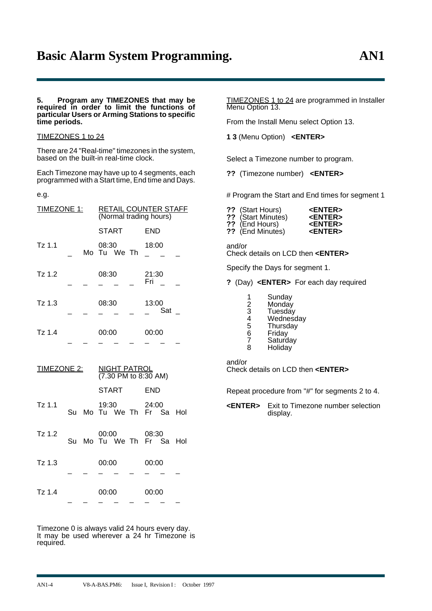#### **5. Program any TIMEZONES that may be required in order to limit the functions of particular Users or Arming Stations to specific time periods.**

### TIMEZONES 1 to 24

There are 24 "Real-time" timezones in the system, based on the built-in real-time clock.

Each Timezone may have up to 4 segments, each programmed with a Start time, End time and Days.

e.g.

| <b>TIMEZONE 1:</b> |  | RETAIL COUNTER STAFF<br>(Normal trading hours) |                      |  |  |              |     |  |
|--------------------|--|------------------------------------------------|----------------------|--|--|--------------|-----|--|
|                    |  |                                                | <b>START</b>         |  |  | <b>END</b>   |     |  |
| $Tz$ 1.1           |  |                                                | 08:30<br>Mo Tu We Th |  |  | 18:00        |     |  |
| $Tz$ 1.2           |  |                                                | 08:30                |  |  | 21:30<br>Fri |     |  |
| $Tz$ 1.3           |  |                                                | 08:30                |  |  | 13:00        | Sat |  |
| $Tz$ 1.4           |  |                                                | 00:00                |  |  | 00:00        |     |  |

| <b>TIMEZONE 2:</b> |    | <b>NIGHT PATROL</b><br>(7.30 PM to 8:30 AM) |       |                                         |  |            |  |  |
|--------------------|----|---------------------------------------------|-------|-----------------------------------------|--|------------|--|--|
|                    |    |                                             |       | <b>START</b>                            |  | <b>END</b> |  |  |
| $Tz$ 1.1           |    |                                             |       | 19:30 24:00<br>Su Mo Tu We Th Fr Sa Hol |  |            |  |  |
| $Tz$ 1.2           | Su |                                             |       | 00:00<br>Mo Tu We Th Fr Sa Hol          |  | 08:30      |  |  |
| $Tz$ 1.3           |    |                                             | 00:00 |                                         |  | 00:00      |  |  |
| $Tz$ 1.4           |    |                                             | 00:00 |                                         |  | 00:00      |  |  |

Timezone 0 is always valid 24 hours every day. It may be used wherever a 24 hr Timezone is required.

\_ \_ \_ \_ \_ \_ \_ \_

TIMEZONES 1 to 24 are programmed in Installer Menu Option 13.

From the Install Menu select Option 13.

**1 3** (Menu Option) **<ENTER>**

Select a Timezone number to program.

**??** (Timezone number) **<ENTER>**

# Program the Start and End times for segment 1

| ?? (Start Hours)   | <b><enter></enter></b> |
|--------------------|------------------------|
| ?? (Start Minutes) | <b><enter></enter></b> |

| $\cdots$ ( <i>ovair immunor</i> ) | --------        |
|-----------------------------------|-----------------|
| ?? (End Hours)                    | <enter></enter> |

**??** (End Minutes) **<ENTER>**

and/or Check details on LCD then **<ENTER>**

Specify the Days for segment 1.

**?** (Day) **<ENTER>** For each day required

| 1 | Sunday    |
|---|-----------|
| 2 | Monday    |
| 3 | Tuesday   |
| 4 | Wednesday |
| 5 | Thursday  |
| 6 | Friday    |
| 7 | Saturday  |
| ጸ | Holiday   |

and/or

Check details on LCD then **<ENTER>**

Repeat procedure from "#" for segments 2 to 4.

**<ENTER>** Exit to Timezone number selection display.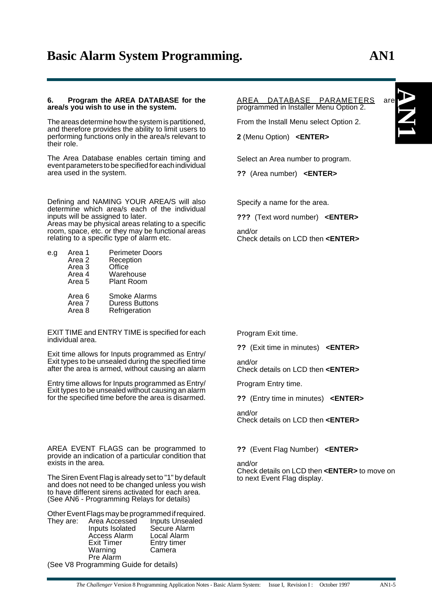#### **6. Program the AREA DATABASE for the area/s you wish to use in the system.**

The areas determine how the system is partitioned, and therefore provides the ability to limit users to performing functions only in the area/s relevant to their role.

The Area Database enables certain timing and event parameters to be specified for each individual area used in the system.

Defining and NAMING YOUR AREA/S will also determine which area/s each of the individual inputs will be assigned to later. Areas may be physical areas relating to a specific

room, space, etc. or they may be functional areas relating to a specific type of alarm etc.

| e.g | Area 1<br>Area 2<br>Area 3<br>Area 4<br>Area 5 | <b>Perimeter Doors</b><br>Reception<br>Office<br>Warehouse<br><b>Plant Room</b> |
|-----|------------------------------------------------|---------------------------------------------------------------------------------|
|     | Area 6<br>Area 7<br>Area 8                     | Smoke Alarms<br><b>Duress Buttons</b><br>Refrigeration                          |

EXIT TIME and ENTRY TIME is specified for each individual area.

Exit time allows for Inputs programmed as Entry/ Exit types to be unsealed during the specified time after the area is armed, without causing an alarm

Entry time allows for Inputs programmed as Entry/ Exit types to be unsealed without causing an alarm for the specified time before the area is disarmed.

AREA EVENT FLAGS can be programmed to provide an indication of a particular condition that exists in the area.

The Siren Event Flag is already set to "1" by default and does not need to be changed unless you wish to have different sirens activated for each area. (See AN6 - Programming Relays for details)

Other Event Flags may be programmed if required. Inputs Unsealed<br>Secure Alarm Inputs Isolated Secure Alarm Access Alarm<br>Exit Timer Entry timer Warning Camera Pre Alarm

(See V8 Programming Guide for details)

AREA DATABASE PARAMETERS are programmed in Installer Menu Option 2.

From the Install Menu select Option 2.

**2** (Menu Option) **<ENTER>**

Select an Area number to program.

**??** (Area number) **<ENTER>**

Specify a name for the area.

**???** (Text word number) **<ENTER>**

and/or Check details on LCD then **<ENTER>**

Program Exit time.

**??** (Exit time in minutes) **<ENTER>**

and/or

Check details on LCD then **<ENTER>**

Program Entry time.

**??** (Entry time in minutes) **<ENTER>**

and/or Check details on LCD then **<ENTER>**

**??** (Event Flag Number) **<ENTER>**

and/or Check details on LCD then **<ENTER>** to move on to next Event Flag display.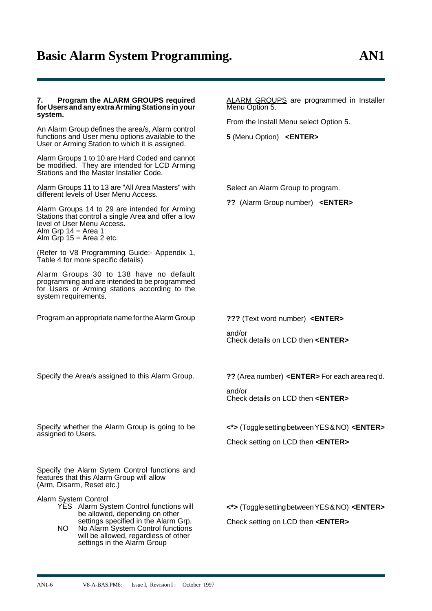### **7. Program the ALARM GROUPS required for Users and any extra Arming Stations in your system.**

An Alarm Group defines the area/s, Alarm control functions and User menu options available to the User or Arming Station to which it is assigned.

Alarm Groups 1 to 10 are Hard Coded and cannot be modified. They are intended for LCD Arming Stations and the Master Installer Code.

Alarm Groups 11 to 13 are "All Area Masters" with different levels of User Menu Access.

Alarm Groups 14 to 29 are intended for Arming Stations that control a single Area and offer a low level of User Menu Access. Alm Grp 14 = Area 1 Alm Grp  $15$  = Area 2 etc.

(Refer to V8 Programming Guide:- Appendix 1, Table 4 for more specific details)

Alarm Groups 30 to 138 have no default programming and are intended to be programmed for Users or Arming stations according to the system requirements.

Program an appropriate name for the Alarm Group

ALARM GROUPS are programmed in Installer Menu Option 5.

From the Install Menu select Option 5.

**5** (Menu Option) **<ENTER>**

Select an Alarm Group to program.

**??** (Alarm Group number) **<ENTER>**

**???** (Text word number) **<ENTER>**

and/or Check details on LCD then **<ENTER>**

Specify the Area/s assigned to this Alarm Group.

**??** (Area number) **<ENTER>** For each area req'd.

and/or Check details on LCD then **<ENTER>**

**<\*>** (Toggle setting between YES & NO) **<ENTER>**

Check setting on LCD then **<ENTER>**

Specify the Alarm Sytem Control functions and features that this Alarm Group will allow (Arm, Disarm, Reset etc.)

Specify whether the Alarm Group is going to be

Alarm System Control

assigned to Users.

YES Alarm System Control functions will be allowed, depending on other settings specified in the Alarm Grp.

NO No Alarm System Control functions will be allowed, regardless of other settings in the Alarm Group

**<\*>** (Toggle setting between YES & NO) **<ENTER>** Check setting on LCD then **<ENTER>**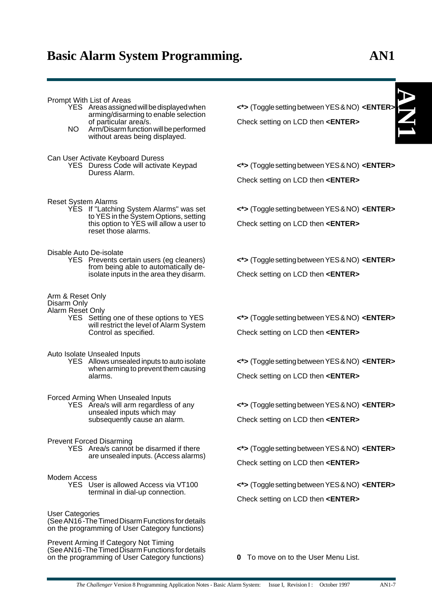**AN**

**1**

Prompt With List of Areas

- YES Areas assigned will be displayed when arming/disarming to enable selection of particular area/s.
- NO Arm/Disarm function will be performed without areas being displayed.
- Can User Activate Keyboard Duress
	- YES Duress Code will activate Keypad Duress Alarm.
- Reset System Alarms
	- YES If "Latching System Alarms" was set to YES in the System Options, setting this option to YES will allow a user to reset those alarms.

Disable Auto De-isolate

YES Prevents certain users (eg cleaners) from being able to automatically deisolate inputs in the area they disarm.

Arm & Reset Only

Disarm Only

Alarm Reset Only YES Setting one of these options to YES will restrict the level of Alarm System Control as specified.

Auto Isolate Unsealed Inputs

YES Allows unsealed inputs to auto isolate when arming to prevent them causing alarms.

Forced Arming When Unsealed Inputs

YES Area/s will arm regardless of any unsealed inputs which may subsequently cause an alarm.

Prevent Forced Disarming

YES Area/s cannot be disarmed if there are unsealed inputs. (Access alarms)

Modem Access

YES User is allowed Access via VT100 terminal in dial-up connection.

User Categories

(See AN16 -The Timed Disarm Functions for details on the programming of User Category functions)

Prevent Arming If Category Not Timing (See AN16 -The Timed Disarm Functions for details on the programming of User Category functions)

**<\*>** (Toggle setting between YES & NO) **<ENTER>** Check setting on LCD then **<ENTER>**

**<\*>** (Toggle setting between YES & NO) **<ENTER>** Check setting on LCD then **<ENTER>**

**<\*>** (Toggle setting between YES & NO) **<ENTER>** Check setting on LCD then **<ENTER>**

**<\*>** (Toggle setting between YES & NO) **<ENTER>** Check setting on LCD then **<ENTER>**

**<\*>** (Toggle setting between YES & NO) **<ENTER>** Check setting on LCD then **<ENTER>**

**<\*>** (Toggle setting between YES & NO) **<ENTER>** Check setting on LCD then **<ENTER>**

**<\*>** (Toggle setting between YES & NO) **<ENTER>** Check setting on LCD then **<ENTER>**

**<\*>** (Toggle setting between YES & NO) **<ENTER>** Check setting on LCD then **<ENTER>**

**<\*>** (Toggle setting between YES & NO) **<ENTER>** Check setting on LCD then **<ENTER>**

**0** To move on to the User Menu List.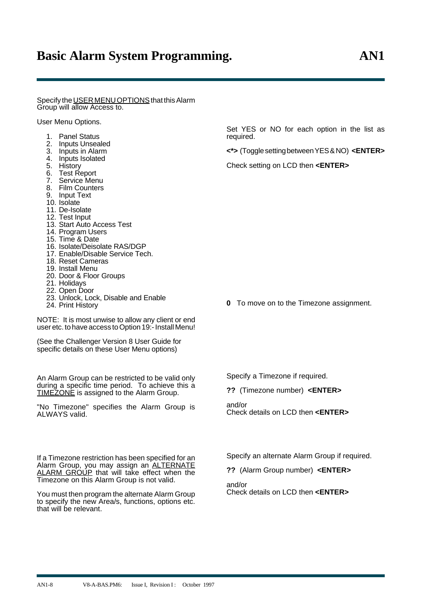Specify the USER MENU OPTIONS that this Alarm Group will allow Access to.

User Menu Options.

- 1. Panel Status
- 2. Inputs Unsealed
- 3. Inputs in Alarm<br>4. Inputs Isolated
- 4. Inputs Isolated
- 5. History
- 6. Test Report
- 7. Service Menu
- 8. Film Counters
- 9. Input Text
- 10. Isolate
- 11. De-Isolate
- 12. Test Input
- 13. Start Auto Access Test
- 14. Program Users
- 15. Time & Date
- 16. Isolate/Deisolate RAS/DGP
- 17. Enable/Disable Service Tech.
- 18. Reset Cameras
- 19. Install Menu
- 20. Door & Floor Groups
- 21. Holidays
- 22. Open Door
- 23. Unlock, Lock, Disable and Enable
- 24. Print History

NOTE: It is most unwise to allow any client or end user etc. to have access to Option 19:- Install Menu!

(See the Challenger Version 8 User Guide for specific details on these User Menu options)

An Alarm Group can be restricted to be valid only during a specific time period. To achieve this a TIMEZONE is assigned to the Alarm Group.

"No Timezone" specifies the Alarm Group is ALWAYS valid.

If a Timezone restriction has been specified for an Alarm Group, you may assign an ALTERNATE ALARM GROUP that will take effect when the Timezone on this Alarm Group is not valid.

You must then program the alternate Alarm Group to specify the new Area/s, functions, options etc. that will be relevant.

Set YES or NO for each option in the list as required.

**<\*>** (Toggle setting between YES & NO) **<ENTER>**

Check setting on LCD then **<ENTER>**

**0** To move on to the Timezone assignment.

Specify a Timezone if required.

**??** (Timezone number) **<ENTER>**

and/or Check details on LCD then **<ENTER>**

Specify an alternate Alarm Group if required.

**??** (Alarm Group number) **<ENTER>**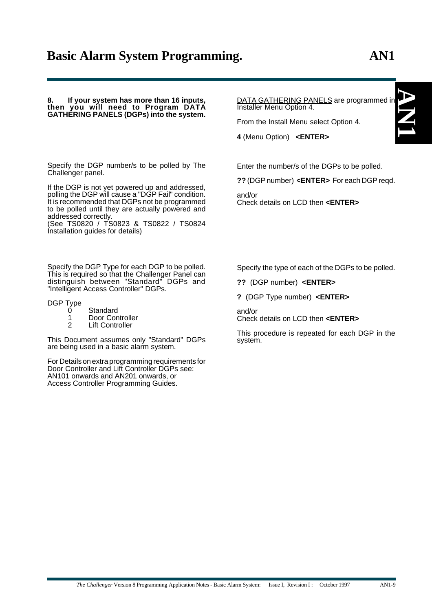**8. If your system has more than 16 inputs, then you will need to Program DATA GATHERING PANELS (DGPs) into the system.**

Specify the DGP number/s to be polled by The Challenger panel.

If the DGP is not yet powered up and addressed, polling the DGP will cause a "DGP Fail" condition. It is recommended that DGPs not be programmed to be polled until they are actually powered and addressed correctly.

(See TS0820 / TS0823 & TS0822 / TS0824 Installation guides for details)

Specify the DGP Type for each DGP to be polled. This is required so that the Challenger Panel can distinguish between "Standard" DGPs and "Intelligent Access Controller" DGPs.

DGP Type

- 0 Standard<br>1 Door Con
- 1 Door Controller<br>2 Lift Controller
- **Lift Controller**

This Document assumes only "Standard" DGPs are being used in a basic alarm system.

For Details on extra programming requirements for Door Controller and Lift Controller DGPs see: AN101 onwards and AN201 onwards, or Access Controller Programming Guides.

DATA GATHERING PANELS are programmed in Installer Menu Option 4.

From the Install Menu select Option 4.

**4** (Menu Option) **<ENTER>**

Enter the number/s of the DGPs to be polled.

**??** (DGP number) **<ENTER>** For each DGP reqd.

and/or Check details on LCD then **<ENTER>**

Specify the type of each of the DGPs to be polled.

- **??** (DGP number) **<ENTER>**
- **?** (DGP Type number) **<ENTER>**

and/or

Check details on LCD then **<ENTER>**

This procedure is repeated for each DGP in the system.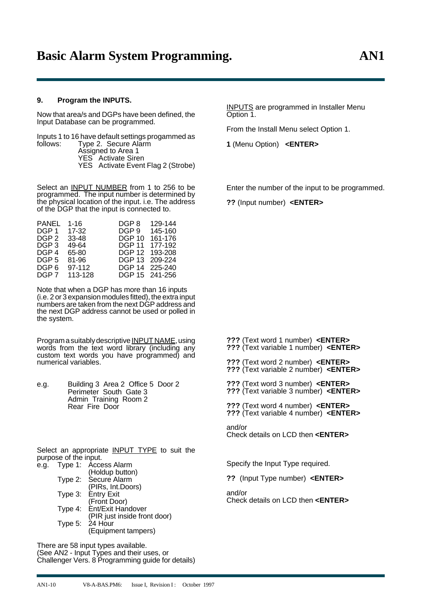### **9. Program the INPUTS.**

Now that area/s and DGPs have been defined, the Input Database can be programmed.

Inputs 1 to 16 have default settings progammed as follows: Type 2. Secure Alarm Assigned to Area 1 YES Activate Siren YES Activate Event Flag 2 (Strobe)

Select an **INPUT NUMBER** from 1 to 256 to be programmed. The input number is determined by the physical location of the input. i.e. The address of the DGP that the input is connected to.

| 1-16    | DGP 8         | 129-144        |
|---------|---------------|----------------|
| 17-32   | DGP 9         | 145-160        |
| 33-48   | <b>DGP 10</b> | 161-176        |
| 49-64   | DGP 11        | 177-192        |
| 65-80   | <b>DGP 12</b> | 193-208        |
| 81-96   | DGP 13        | 209-224        |
| 97-112  |               | DGP 14 225-240 |
| 113-128 |               | DGP 15 241-256 |
|         |               |                |

Note that when a DGP has more than 16 inputs (i.e. 2 or 3 expansion modules fitted), the extra input numbers are taken from the next DGP address and the next DGP address cannot be used or polled in the system.

Program a suitably descriptive INPUT NAME, using words from the text word library (including any custom text words you have programmed) and numerical variables.

e.g. Building 3 Area 2 Office 5 Door 2 Perimeter South Gate 3 Admin Training Room 2 Rear Fire Door

Select an appropriate INPUT TYPE to suit the purpose of the input. e.g. Type 1: Access Alarm

| . ו שטו | AUUGOO AIGHH                 |
|---------|------------------------------|
|         | (Holdup button)              |
|         | Type 2: Secure Alarm         |
|         | (PIRs, Int.Doors)            |
| Type 3: | Entry Exit                   |
|         | (Front Door)                 |
|         | Type 4: Ent/Exit Handover    |
|         | (PIR just inside front door) |
|         | Type 5: 24 Hour              |
|         | (Equipment tampers)          |
|         |                              |

There are 58 input types available. (See AN2 - Input Types and their uses, or Challenger Vers. 8 Programming guide for details) INPUTS are programmed in Installer Menu Option 1.

From the Install Menu select Option 1.

**1** (Menu Option) **<ENTER>**

Enter the number of the input to be programmed.

**??** (Input number) **<ENTER>**

**???** (Text word 1 number) **<ENTER> ???** (Text variable 1 number) **<ENTER>**

**???** (Text word 2 number) **<ENTER> ???** (Text variable 2 number) **<ENTER>**

**???** (Text word 3 number) **<ENTER> ???** (Text variable 3 number) **<ENTER>**

**???** (Text word 4 number) **<ENTER> ???** (Text variable 4 number) **<ENTER>**

and/or Check details on LCD then **<ENTER>**

Specify the Input Type required.

**??** (Input Type number) **<ENTER>**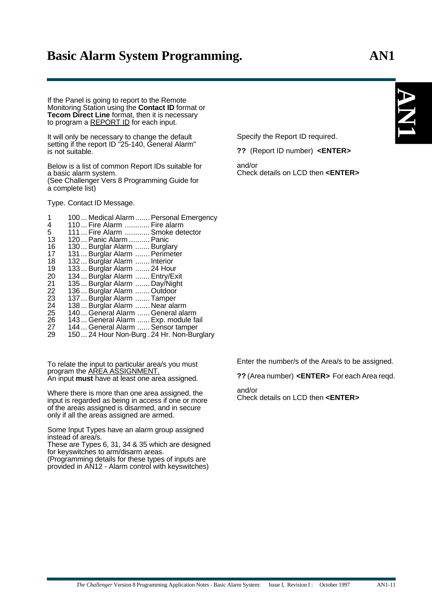If the Panel is going to report to the Remote Monitoring Station using the **Contact ID** format or **Tecom Direct Line** format, then it is necessary to program a REPORT ID for each input.

It will only be necessary to change the default setting if the report ID "25-140, General Alarm" is not suitable.

Below is a list of common Report IDs suitable for a basic alarm system. (See Challenger Vers 8 Programming Guide for a complete list)

Type. Contact ID Message.

 100... Medical Alarm.......Personal Emergency 4 110... Fire Alarm ............ Fire alarm<br>5 111... Fire Alarm ........... Smoke det 111... Fire Alarm ............Smoke detector 120... Panic Alarm ..........Panic 130... Burglar Alarm .......Burglary 17 131... Burglar Alarm ....... Perimeter<br>18 132... Burglar Alarm ....... Interior 132... Burglar Alarm ....... Interior 19 133... Burğlar Alarm ....... 24 Hour<br>20 134 Burglar Alarm Fotry/Ex 134... Burglar Alarm .......Entry/Exit 135... Burglar Alarm ....... Day/Night 136... Burglar Alarm .......Outdoor 23 137... Burğlar Alarm ....... Tamper<br>24 138... Burglar Alarm ....... Near ala 138... Burglar Alarm ....... Near alarm 140... General Alarm ......General alarm 143... General Alarm ......Exp. module fail 144... General Alarm ......Sensor tamper 150... 24 Hour Non-Burg . 24 Hr. Non-Burglary

To relate the input to particular area/s you must program the <u>AREA ASSIGNMENT.</u> An input **must** have at least one area assigned.

Where there is more than one area assigned, the input is regarded as being in access if one or more of the areas assigned is disarmed, and in secure only if all the areas assigned are armed.

Some Input Types have an alarm group assigned instead of area/s.

These are Types 6, 31, 34 & 35 which are designed for keyswitches to arm/disarm areas.

(Programming details for these types of inputs are provided in AN12 - Alarm control with keyswitches) Specify the Report ID required.

**??** (Report ID number) **<ENTER>**

and/or Check details on LCD then **<ENTER>** **1**

Enter the number/s of the Area/s to be assigned.

**??** (Area number) **<ENTER>** For each Area reqd.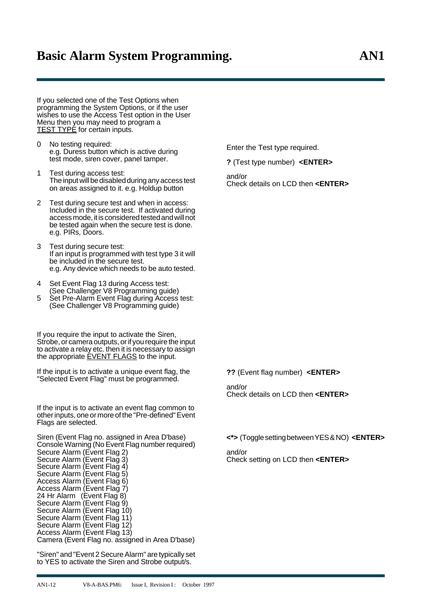If you selected one of the Test Options when programming the System Options, or if the user wishes to use the Access Test option in the User Menu then you may need to program a

No testing required: e.g. Duress button which is active during test mode, siren cover, panel tamper.

**TEST TYPE** for certain inputs.

- 1 Test during access test: The input will be disabled during any access test on areas assigned to it. e.g. Holdup button
- 2 Test during secure test and when in access: Included in the secure test. If activated during access mode, it is considered tested and will not be tested again when the secure test is done. e.g. PIRs, Doors.
- 3 Test during secure test: If an input is programmed with test type 3 it will be included in the secure test. e.g. Any device which needs to be auto tested.
- Set Event Flag 13 during Access test: (See Challenger V8 Programming guide)
- 5 Set Pre-Alarm Event Flag during Access test: (See Challenger V8 Programming guide)

If you require the input to activate the Siren, Strobe, or camera outputs, or if you require the input to activate a relay etc. then it is necessary to assign the appropriate **EVENT FLAGS** to the input.

If the input is to activate a unique event flag, the "Selected Event Flag" must be programmed.

If the input is to activate an event flag common to other inputs, one or more of the "Pre-defined" Event Flags are selected.

Siren (Event Flag no. assigned in Area D'base) Console Warning (No Event Flag number required) Secure Alarm (Event Flag 2) Secure Alarm (Event Flag 3) Secure Alarm (Event Flag 4) Secure Alarm (Event Flag 5) Access Alarm (Event Flag 6) Access Alarm (Event Flag 7) 24 Hr Alarm (Event Flag 8) Secure Alarm (Event Flag 9) Secure Alarm (Event Flag 10) Secure Alarm (Event Flag 11) Secure Alarm (Event Flag 12) Access Alarm (Event Flag 13) Camera (Event Flag no. assigned in Area D'base)

"Siren" and "Event 2 Secure Alarm" are typically set to YES to activate the Siren and Strobe output/s.

Enter the Test type required.

**?** (Test type number) **<ENTER>**

and/or Check details on LCD then **<ENTER>**

**??** (Event flag number) **<ENTER>**

and/or Check details on LCD then **<ENTER>**

**<\*>** (Toggle setting between YES & NO) **<ENTER>**

and/or Check setting on LCD then **<ENTER>**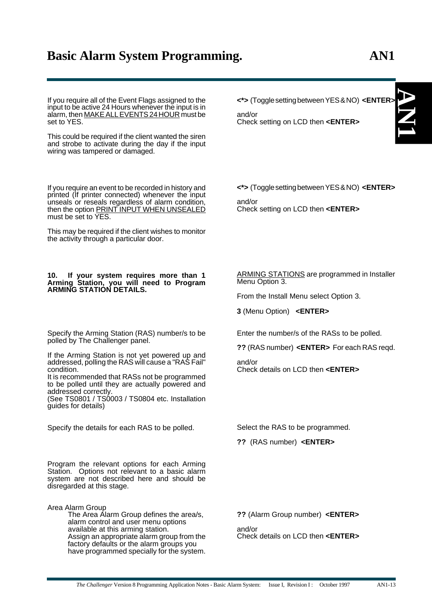**AN**

**1**

If you require all of the Event Flags assigned to the input to be active 24 Hours whenever the input is in alarm, then MAKE ALL EVENTS 24 HOUR must be set to YES.

This could be required if the client wanted the siren and strobe to activate during the day if the input wiring was tampered or damaged.

If you require an event to be recorded in history and printed (If printer connected) whenever the input unseals or reseals regardless of alarm condition, then the option PRINT INPUT WHEN UNSEALED must be set to YES.

This may be required if the client wishes to monitor the activity through a particular door.

#### **10. If your system requires more than 1 Arming Station, you will need to Program ARMING STATION DETAILS.**

Specify the Arming Station (RAS) number/s to be polled by The Challenger panel.

If the Arming Station is not yet powered up and addressed, polling the RAS will cause a "RAS Fail" condition.

It is recommended that RASs not be programmed to be polled until they are actually powered and addressed correctly.

(See TS0801 / TS0003 / TS0804 etc. Installation guides for details)

Specify the details for each RAS to be polled.

Program the relevant options for each Arming Station. Options not relevant to a basic alarm system are not described here and should be disregarded at this stage.

Area Alarm Group The Area Alarm Group defines the area/s, alarm control and user menu options available at this arming station. Assign an appropriate alarm group from the factory defaults or the alarm groups you have programmed specially for the system.

**<\*>** (Toggle setting between YES & NO) **<ENTER>**

and/or Check setting on LCD then **<ENTER>**

**<\*>** (Toggle setting between YES & NO) **<ENTER>**

and/or Check setting on LCD then **<ENTER>**

### ARMING STATIONS are programmed in Installer Menu Option 3.

From the Install Menu select Option 3.

**3** (Menu Option) **<ENTER>**

Enter the number/s of the RASs to be polled.

**??** (RAS number) **<ENTER>** For each RAS reqd.

and/or Check details on LCD then **<ENTER>**

Select the RAS to be programmed.

**??** (RAS number) **<ENTER>**

**??** (Alarm Group number) **<ENTER>**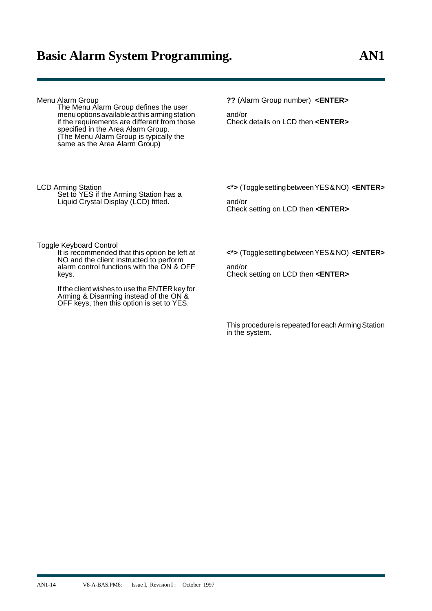If the client wishes to use the ENTER key for Arming & Disarming instead of the ON & OFF keys, then this option is set to YES.

| Menu Alarm Group<br>The Menu Alarm Group defines the user<br>menu options available at this arming station<br>if the requirements are different from those<br>specified in the Area Alarm Group.<br>(The Menu Alarm Group is typically the<br>same as the Area Alarm Group) | ?? (Alarm Group number) <enter><br/>and/or<br/>Check details on LCD then &lt;<b>ENTER&gt;</b></enter>          |
|-----------------------------------------------------------------------------------------------------------------------------------------------------------------------------------------------------------------------------------------------------------------------------|----------------------------------------------------------------------------------------------------------------|
| LCD Arming Station<br>Set to YES if the Arming Station has a<br>Liquid Crystal Display (LCD) fitted.                                                                                                                                                                        | <*> (Toggle setting between YES & NO) <enter><br/>and/or<br/>Check setting on LCD then <enter></enter></enter> |
| Toggle Keyboard Control<br>It is recommended that this option be left at<br>NO and the client instructed to perform<br>alarm control functions with the ON & OFF<br>keys.                                                                                                   | <*> (Toggle setting between YES & NO) < <b>ENTER</b> ><br>and/or<br>Check setting on LCD then <enter></enter>  |

This procedure is repeated for each Arming Station in the system.

AN1-14 V8-A-BAS.PM6: Issue I, Revision I: October 1997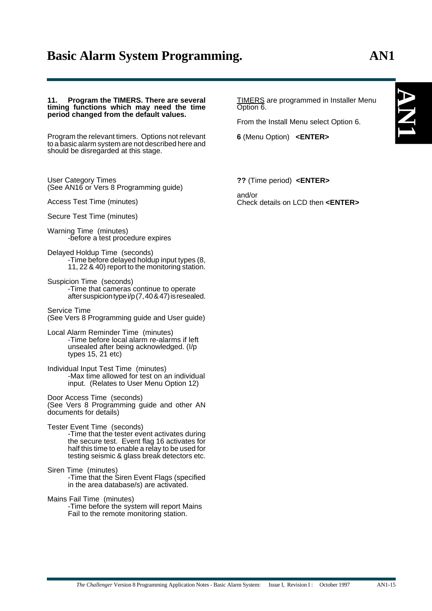**AN**

**1**

#### **11. Program the TIMERS. There are several timing functions which may need the time period changed from the default values.**

Program the relevant timers. Options not relevant to a basic alarm system are not described here and should be disregarded at this stage.

User Category Times (See AN16 or Vers 8 Programming guide)

Access Test Time (minutes)

Secure Test Time (minutes)

Warning Time (minutes) -before a test procedure expires

Delayed Holdup Time (seconds) -Time before delayed holdup input types (8, 11, 22 & 40) report to the monitoring station.

Suspicion Time (seconds) -Time that cameras continue to operate after suspicion type i/p (7, 40 & 47) is resealed.

Service Time (See Vers 8 Programming guide and User guide)

Local Alarm Reminder Time (minutes) -Time before local alarm re-alarms if left unsealed after being acknowledged. (I/p types 15, 21 etc)

Individual Input Test Time (minutes) -Max time allowed for test on an individual input. (Relates to User Menu Option 12)

Door Access Time (seconds) (See Vers 8 Programming guide and other AN documents for details)

Tester Event Time (seconds) -Time that the tester event activates during the secure test. Event flag 16 activates for half this time to enable a relay to be used for testing seismic & glass break detectors etc.

Siren Time (minutes) -Time that the Siren Event Flags (specified in the area database/s) are activated.

Mains Fail Time (minutes) -Time before the system will report Mains Fail to the remote monitoring station.

TIMERS are programmed in Installer Menu Option 6.

From the Install Menu select Option 6.

**6** (Menu Option) **<ENTER>**

**??** (Time period) **<ENTER>**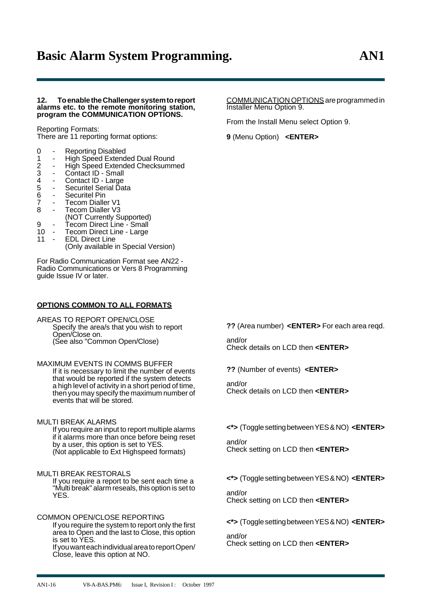### **12. To enable the Challenger system to report alarms etc. to the remote monitoring station, program the COMMUNICATION OPTIONS.**

Reporting Formats: There are 11 reporting format options:

- 0 Reporting Disabled<br>1 High Speed Extend
- 1 High Speed Extended Dual Round<br>
2 High Speed Extended Checksumm<br>
3 Contact ID Small<br>
4 Contact ID Large<br>
5 Securitel Serial Data<br>
6 Securitel Pin High Speed Extended Checksummed
- 
- Contact ID Small
- Contact ID Large Securitel Serial Data
- 
- 6 Securitel Pin<br>7 Tecom Dialle
- 7 Tecom Dialler V1<br>8 Tecom Dialler V3 Tecom Dialler V3
	- (NOT Currently Supported)
- 9 Tecom Direct Line Small
- 10 Tecom Direct Line Large
- 11 EDL Direct Line
	- (Only available in Special Version)

For Radio Communication Format see AN22 - Radio Communications or Vers 8 Programming guide Issue IV or later.

### **OPTIONS COMMON TO ALL FORMATS**

AREAS TO REPORT OPEN/CLOSE Specify the area/s that you wish to report Open/Close on. (See also "Common Open/Close)

MAXIMUM EVENTS IN COMMS BUFFER If it is necessary to limit the number of events that would be reported if the system detects a high level of activity in a short period of time, then you may specify the maximum number of events that will be stored.

MULTI BREAK ALARMS If you require an input to report multiple alarms if it alarms more than once before being reset by a user, this option is set to YES. (Not applicable to Ext Highspeed formats)

### MULTI BREAK RESTORALS

If you require a report to be sent each time a "Multi break" alarm reseals, this option is set to YES.

COMMON OPEN/CLOSE REPORTING If you require the system to report only the first area to Open and the last to Close, this option is set to YES. If you want each individual area to report Open/ Close, leave this option at NO.

COMMUNICATION OPTIONS are programmed in Installer Menu Option 9.

From the Install Menu select Option 9.

**9** (Menu Option) **<ENTER>**

**??** (Area number) **<ENTER>** For each area reqd.

and/or Check details on LCD then **<ENTER>**

**??** (Number of events) **<ENTER>**

and/or Check details on LCD then **<ENTER>**

**<\*>** (Toggle setting between YES & NO) **<ENTER>**

and/or Check setting on LCD then **<ENTER>**

**<\*>** (Toggle setting between YES & NO) **<ENTER>**

and/or Check setting on LCD then **<ENTER>**

**<\*>** (Toggle setting between YES & NO) **<ENTER>**

and/or Check setting on LCD then **<ENTER>**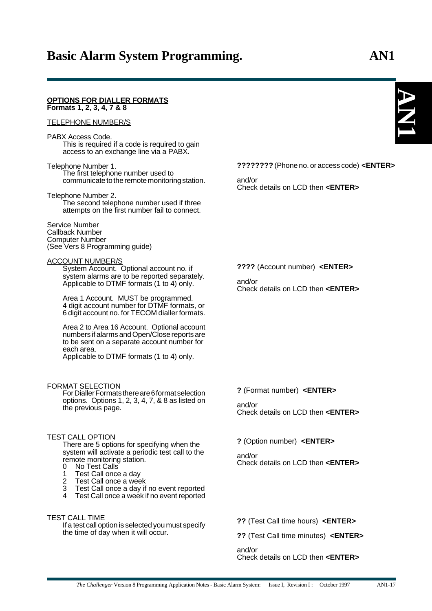#### **OPTIONS FOR DIALLER FORMATS Formats 1, 2, 3, 4, 7 & 8**

### TELEPHONE NUMBER/S

#### PABX Access Code. This is required if a code is required to gain

access to an exchange line via a PABX.

#### Telephone Number 1. The first telephone number used to communicate to the remote monitoring station.

Telephone Number 2. The second telephone number used if three attempts on the first number fail to connect.

#### Service Number Callback Number Computer Number (See Vers 8 Programming guide)

### ACCOUNT NUMBER/S

System Account. Optional account no. if system alarms are to be reported separately. Applicable to DTMF formats (1 to 4) only.

Area 1 Account. MUST be programmed. 4 digit account number for DTMF formats, or 6 digit account no. for TECOM dialler formats.

Area 2 to Area 16 Account. Optional account numbers if alarms and Open/Close reports are to be sent on a separate account number for each area.

Applicable to DTMF formats (1 to 4) only.

### FORMAT SELECTION

For Dialler Formats there are 6 format selection options. Options 1, 2, 3, 4, 7, & 8 as listed on the previous page.

### TEST CALL OPTION

There are 5 options for specifying when the system will activate a periodic test call to the remote monitoring station.<br>0. No Test Calls No Test Calls

- 
- 1 Test Call once a day<br>2 Test Call once a wee
- Test Call once a week
- 3 Test Call once a day if no event reported
- Test Call once a week if no event reported

### TEST CALL TIME

If a test call option is selected you must specify the time of day when it will occur.

**????????** (Phone no. or access code) **<ENTER>**

and/or Check details on LCD then **<ENTER>**

**????** (Account number) **<ENTER>**

and/or Check details on LCD then **<ENTER>**

**?** (Format number) **<ENTER>**

and/or Check details on LCD then **<ENTER>**

### **?** (Option number) **<ENTER>**

and/or Check details on LCD then **<ENTER>**

**??** (Test Call time hours) **<ENTER>**

**??** (Test Call time minutes) **<ENTER>**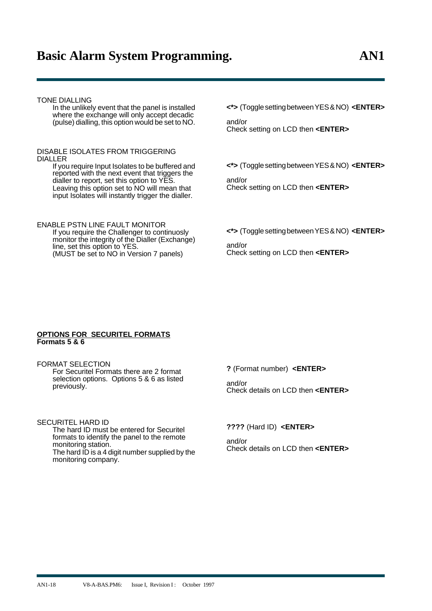### TONE DIALLING

In the unlikely event that the panel is installed where the exchange will only accept decadic (pulse) dialling, this option would be set to NO.

### DISABLE ISOLATES FROM TRIGGERING DIALLER

If you require Input Isolates to be buffered and reported with the next event that triggers the dialler to report, set this option to YES. Leaving this option set to NO will mean that input Isolates will instantly trigger the dialler.

ENABLE PSTN LINE FAULT MONITOR

If you require the Challenger to continuosly monitor the integrity of the Dialler (Exchange) line, set this option to YES. (MUST be set to NO in Version 7 panels)

**<\*>** (Toggle setting between YES & NO) **<ENTER>**

and/or Check setting on LCD then **<ENTER>**

**<\*>** (Toggle setting between YES & NO) **<ENTER>**

and/or Check setting on LCD then **<ENTER>**

**<\*>** (Toggle setting between YES & NO) **<ENTER>**

and/or Check setting on LCD then **<ENTER>**

### **OPTIONS FOR SECURITEL FORMATS Formats 5 & 6**

FORMAT SELECTION For Securitel Formats there are 2 format selection options. Options 5 & 6 as listed previously.

SECURITEL HARD ID The hard ID must be entered for Securitel formats to identify the panel to the remote monitoring station. The hard ID is a 4 digit number supplied by the monitoring company.

**?** (Format number) **<ENTER>**

and/or Check details on LCD then **<ENTER>**

**????** (Hard ID) **<ENTER>**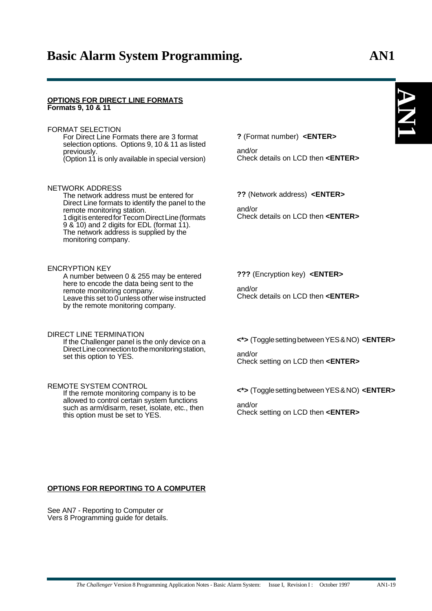#### **OPTIONS FOR DIRECT LINE FORMATS Formats 9, 10 & 11**

### FORMAT SELECTION

For Direct Line Formats there are 3 format selection options. Options 9, 10 & 11 as listed previously. (Option 11 is only available in special version)

### NETWORK ADDRESS

The network address must be entered for Direct Line formats to identify the panel to the remote monitoring station. 1 digit is entered for Tecom Direct Line (formats  $9$  &  $10$ ) and 2 digits for EDL (format 11). The network address is supplied by the monitoring company.

### ENCRYPTION KEY

A number between 0 & 255 may be entered here to encode the data being sent to the remote monitoring company. Leave this set to 0 unless other wise instructed by the remote monitoring company.

#### DIRECT LINE TERMINATION If the Challenger panel is the only device on a

Direct Line connection to the monitoring station, set this option to YES.

### REMOTE SYSTEM CONTROL

If the remote monitoring company is to be allowed to control certain system functions such as arm/disarm, reset, isolate, etc., then this option must be set to YES.

**?** (Format number) **<ENTER>**

and/or Check details on LCD then **<ENTER>**

**??** (Network address) **<ENTER>**

and/or Check details on LCD then **<ENTER>**

**???** (Encryption key) **<ENTER>**

and/or Check details on LCD then **<ENTER>**

**<\*>** (Toggle setting between YES & NO) **<ENTER>**

and/or Check setting on LCD then **<ENTER>**

**<\*>** (Toggle setting between YES & NO) **<ENTER>**

and/or Check setting on LCD then **<ENTER>**

### **OPTIONS FOR REPORTING TO A COMPUTER**

See AN7 - Reporting to Computer or Vers 8 Programming guide for details.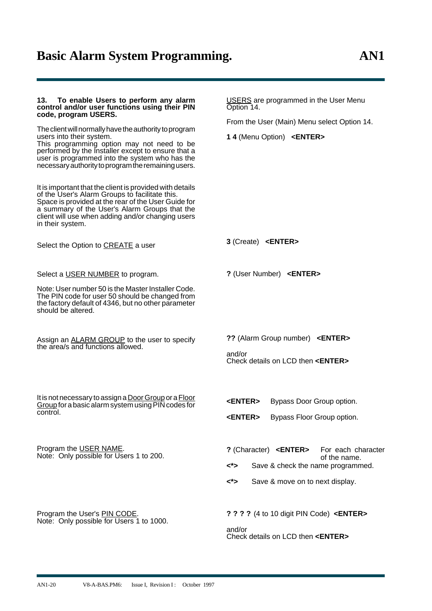| To enable Users to perform any alarm<br>13.<br>control and/or user functions using their PIN<br>code, program USERS.<br>The client will normally have the authority to program<br>users into their system.<br>This programming option may not need to be<br>performed by the Installer except to ensure that a<br>user is programmed into the system who has the<br>necessary authority to program the remaining users.<br>It is important that the client is provided with details<br>of the User's Alarm Groups to facilitate this.<br>Space is provided at the rear of the User Guide for<br>a summary of the User's Alarm Groups that the<br>client will use when adding and/or changing users<br>in their system. | USERS are programmed in the User Menu<br>Option 14.<br>From the User (Main) Menu select Option 14.<br>1 4 (Menu Option) <enter></enter>                                             |
|------------------------------------------------------------------------------------------------------------------------------------------------------------------------------------------------------------------------------------------------------------------------------------------------------------------------------------------------------------------------------------------------------------------------------------------------------------------------------------------------------------------------------------------------------------------------------------------------------------------------------------------------------------------------------------------------------------------------|-------------------------------------------------------------------------------------------------------------------------------------------------------------------------------------|
| Select the Option to CREATE a user                                                                                                                                                                                                                                                                                                                                                                                                                                                                                                                                                                                                                                                                                     | 3 (Create) <enter></enter>                                                                                                                                                          |
| Select a USER NUMBER to program.<br>Note: User number 50 is the Master Installer Code.<br>The PIN code for user 50 should be changed from<br>the factory default of 4346, but no other parameter<br>should be altered.                                                                                                                                                                                                                                                                                                                                                                                                                                                                                                 | ? (User Number) <enter></enter>                                                                                                                                                     |
| Assign an <b>ALARM GROUP</b> to the user to specify<br>the area/s and functions allowed.                                                                                                                                                                                                                                                                                                                                                                                                                                                                                                                                                                                                                               | ?? (Alarm Group number) <enter><br/>and/or<br/>Check details on LCD then <enter></enter></enter>                                                                                    |
| It is not necessary to assign a Door Group or a Floor<br>Group for a basic alarm system using PIN codes for<br>control.                                                                                                                                                                                                                                                                                                                                                                                                                                                                                                                                                                                                | <b><enter></enter></b><br>Bypass Door Group option.<br><enter><br/>Bypass Floor Group option.</enter>                                                                               |
| Program the USER NAME.<br>Note: Only possible for Users 1 to 200.                                                                                                                                                                                                                                                                                                                                                                                                                                                                                                                                                                                                                                                      | ? (Character) <enter><br/>For each character<br/>of the name.<br/>&lt;*&gt;<br/>Save &amp; check the name programmed.<br/>&lt;*&gt;<br/>Save &amp; move on to next display.</enter> |
| Program the User's PIN CODE.<br>Note: Only possible for Users 1 to 1000.                                                                                                                                                                                                                                                                                                                                                                                                                                                                                                                                                                                                                                               | ? ? ? ? (4 to 10 digit PIN Code) <enter><br/>and/or<br/>Check details on LCD then <enter></enter></enter>                                                                           |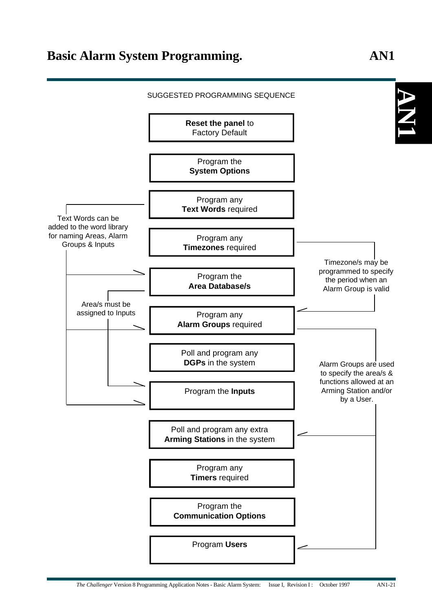### **AN 1 Reset the panel** to Factory Default Program the **System Options** Program any **Text Words** required Program any **Timezones** required Program the **Area Database/s** Program any **Alarm Groups** required Poll and program any **DGPs** in the system Program the **Inputs** Poll and program any extra **Arming Stations** in the system Program any **Timers** required Program the **Communication Options** Program **Users** Area/s must be assigned to Inputs Text Words can be added to the word library for naming Areas, Alarm Groups & Inputs Timezone/s may be programmed to specify the period when an Alarm Group is valid Alarm Groups are used to specify the area/s & functions allowed at an Arming Station and/or by a User. SUGGESTED PROGRAMMING SEQUENCE